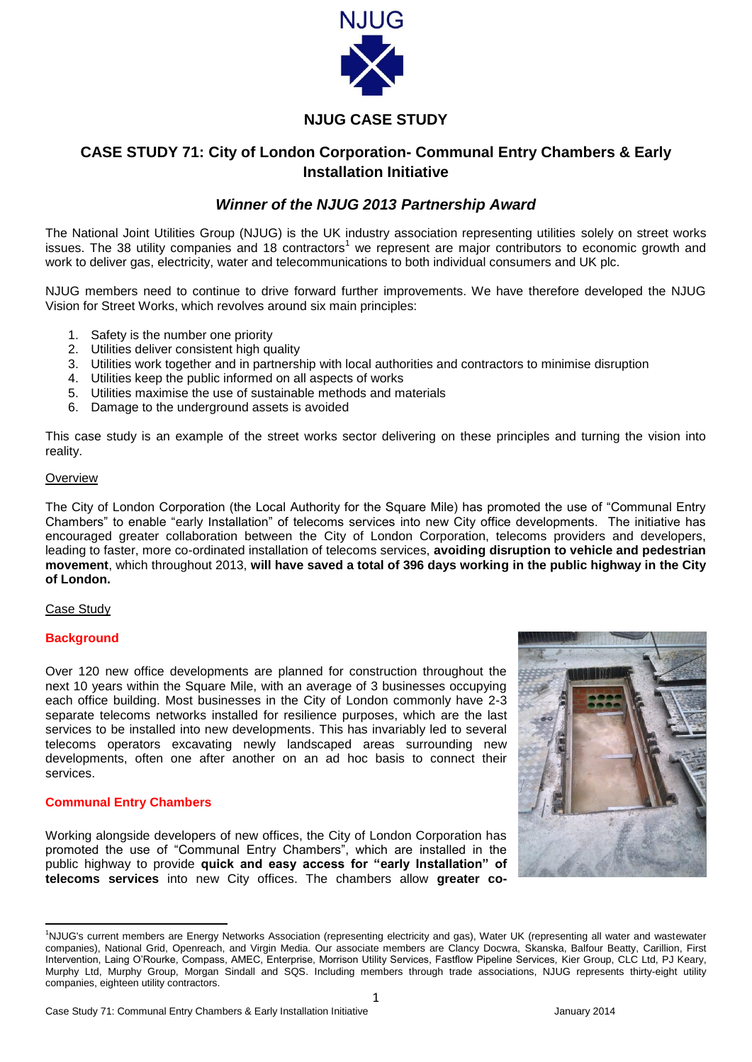

## **NJUG CASE STUDY**

# **CASE STUDY 71: City of London Corporation- Communal Entry Chambers & Early Installation Initiative**

## *Winner of the NJUG 2013 Partnership Award*

The National Joint Utilities Group (NJUG) is the UK industry association representing utilities solely on street works issues. The 38 utility companies and 18 contractors<sup>1</sup> we represent are major contributors to economic growth and work to deliver gas, electricity, water and telecommunications to both individual consumers and UK plc.

NJUG members need to continue to drive forward further improvements. We have therefore developed the NJUG Vision for Street Works, which revolves around six main principles:

- 1. Safety is the number one priority
- 2. Utilities deliver consistent high quality
- 3. Utilities work together and in partnership with local authorities and contractors to minimise disruption
- 4. Utilities keep the public informed on all aspects of works
- 5. Utilities maximise the use of sustainable methods and materials
- 6. Damage to the underground assets is avoided

This case study is an example of the street works sector delivering on these principles and turning the vision into reality.

#### **Overview**

The City of London Corporation (the Local Authority for the Square Mile) has promoted the use of "Communal Entry Chambers" to enable "early Installation" of telecoms services into new City office developments. The initiative has encouraged greater collaboration between the City of London Corporation, telecoms providers and developers, leading to faster, more co-ordinated installation of telecoms services, **avoiding disruption to vehicle and pedestrian movement**, which throughout 2013, **will have saved a total of 396 days working in the public highway in the City of London.**

#### Case Study

## **Background**

Over 120 new office developments are planned for construction throughout the next 10 years within the Square Mile, with an average of 3 businesses occupying each office building. Most businesses in the City of London commonly have 2-3 separate telecoms networks installed for resilience purposes, which are the last services to be installed into new developments. This has invariably led to several telecoms operators excavating newly landscaped areas surrounding new developments, often one after another on an ad hoc basis to connect their services.

## **Communal Entry Chambers**

Working alongside developers of new offices, the City of London Corporation has promoted the use of "Communal Entry Chambers", which are installed in the public highway to provide **quick and easy access for "early Installation" of telecoms services** into new City offices. The chambers allow **greater co-**



**<sup>.</sup>** <sup>1</sup>NJUG's current members are Energy Networks Association (representing electricity and gas), Water UK (representing all water and wastewater companies), National Grid, Openreach, and Virgin Media. Our associate members are Clancy Docwra, Skanska, Balfour Beatty, Carillion, First Intervention, Laing O'Rourke, Compass, AMEC, Enterprise, Morrison Utility Services, Fastflow Pipeline Services, Kier Group, CLC Ltd, PJ Keary, Murphy Ltd, Murphy Group, Morgan Sindall and SQS. Including members through trade associations, NJUG represents thirty-eight utility companies, eighteen utility contractors.